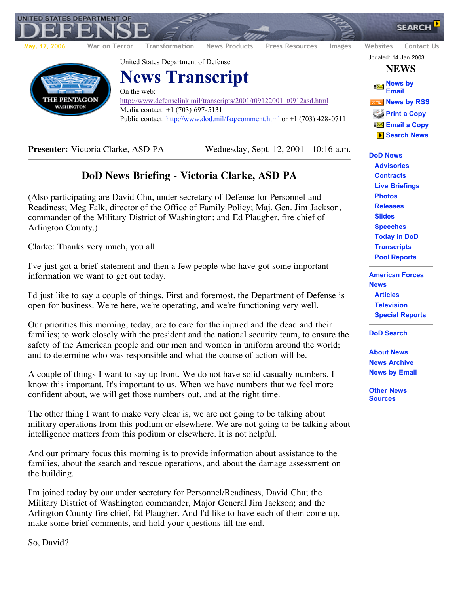

**UNITED STATES DEPARTMENT OF** 

**Presenter:** Victoria Clarke, ASD PA Wednesday, Sept. 12, 2001 - 10:16 a.m.

## **DoD News Briefing - Victoria Clarke, ASD PA**

(Also participating are David Chu, under secretary of Defense for Personnel and Readiness; Meg Falk, director of the Office of Family Policy; Maj. Gen. Jim Jackson, commander of the Military District of Washington; and Ed Plaugher, fire chief of Arlington County.)

Clarke: Thanks very much, you all.

I've just got a brief statement and then a few people who have got some important information we want to get out today.

I'd just like to say a couple of things. First and foremost, the Department of Defense is open for business. We're here, we're operating, and we're functioning very well.

Our priorities this morning, today, are to care for the injured and the dead and their families; to work closely with the president and the national security team, to ensure the safety of the American people and our men and women in uniform around the world; and to determine who was responsible and what the course of action will be.

A couple of things I want to say up front. We do not have solid casualty numbers. I know this important. It's important to us. When we have numbers that we feel more confident about, we will get those numbers out, and at the right time.

The other thing I want to make very clear is, we are not going to be talking about military operations from this podium or elsewhere. We are not going to be talking about intelligence matters from this podium or elsewhere. It is not helpful.

And our primary focus this morning is to provide information about assistance to the families, about the search and rescue operations, and about the damage assessment on the building.

I'm joined today by our under secretary for Personnel/Readiness, David Chu; the Military District of Washington commander, Major General Jim Jackson; and the Arlington County fire chief, Ed Plaugher. And I'd like to have each of them come up, make some brief comments, and hold your questions till the end.

So, David?

**DoD News Advisories Contracts Live Briefings Photos Releases Slides Speeches Today in DoD Transcripts Pool Reports**

**American Forces News Articles Television Special Reports**

**DoD Search**

**About News News Archive News by Email**

**Other News Sources**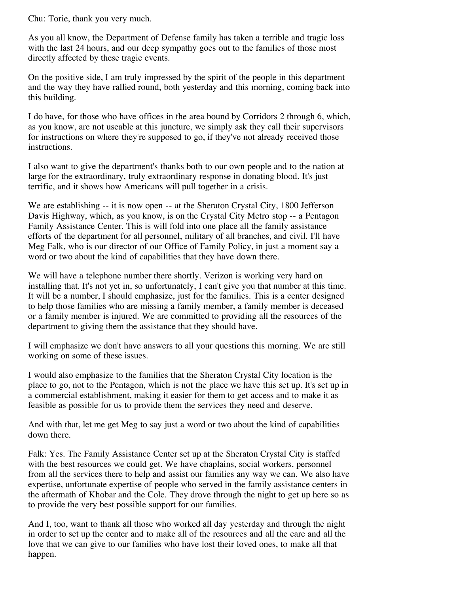Chu: Torie, thank you very much.

As you all know, the Department of Defense family has taken a terrible and tragic loss with the last 24 hours, and our deep sympathy goes out to the families of those most directly affected by these tragic events.

On the positive side, I am truly impressed by the spirit of the people in this department and the way they have rallied round, both yesterday and this morning, coming back into this building.

I do have, for those who have offices in the area bound by Corridors 2 through 6, which, as you know, are not useable at this juncture, we simply ask they call their supervisors for instructions on where they're supposed to go, if they've not already received those instructions.

I also want to give the department's thanks both to our own people and to the nation at large for the extraordinary, truly extraordinary response in donating blood. It's just terrific, and it shows how Americans will pull together in a crisis.

We are establishing -- it is now open -- at the Sheraton Crystal City, 1800 Jefferson Davis Highway, which, as you know, is on the Crystal City Metro stop -- a Pentagon Family Assistance Center. This is will fold into one place all the family assistance efforts of the department for all personnel, military of all branches, and civil. I'll have Meg Falk, who is our director of our Office of Family Policy, in just a moment say a word or two about the kind of capabilities that they have down there.

We will have a telephone number there shortly. Verizon is working very hard on installing that. It's not yet in, so unfortunately, I can't give you that number at this time. It will be a number, I should emphasize, just for the families. This is a center designed to help those families who are missing a family member, a family member is deceased or a family member is injured. We are committed to providing all the resources of the department to giving them the assistance that they should have.

I will emphasize we don't have answers to all your questions this morning. We are still working on some of these issues.

I would also emphasize to the families that the Sheraton Crystal City location is the place to go, not to the Pentagon, which is not the place we have this set up. It's set up in a commercial establishment, making it easier for them to get access and to make it as feasible as possible for us to provide them the services they need and deserve.

And with that, let me get Meg to say just a word or two about the kind of capabilities down there.

Falk: Yes. The Family Assistance Center set up at the Sheraton Crystal City is staffed with the best resources we could get. We have chaplains, social workers, personnel from all the services there to help and assist our families any way we can. We also have expertise, unfortunate expertise of people who served in the family assistance centers in the aftermath of Khobar and the Cole. They drove through the night to get up here so as to provide the very best possible support for our families.

And I, too, want to thank all those who worked all day yesterday and through the night in order to set up the center and to make all of the resources and all the care and all the love that we can give to our families who have lost their loved ones, to make all that happen.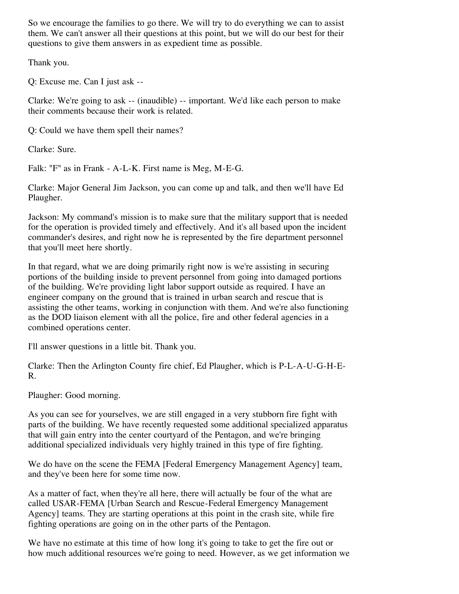So we encourage the families to go there. We will try to do everything we can to assist them. We can't answer all their questions at this point, but we will do our best for their questions to give them answers in as expedient time as possible.

Thank you.

Q: Excuse me. Can I just ask --

Clarke: We're going to ask -- (inaudible) -- important. We'd like each person to make their comments because their work is related.

Q: Could we have them spell their names?

Clarke: Sure.

Falk: "F" as in Frank - A-L-K. First name is Meg, M-E-G.

Clarke: Major General Jim Jackson, you can come up and talk, and then we'll have Ed Plaugher.

Jackson: My command's mission is to make sure that the military support that is needed for the operation is provided timely and effectively. And it's all based upon the incident commander's desires, and right now he is represented by the fire department personnel that you'll meet here shortly.

In that regard, what we are doing primarily right now is we're assisting in securing portions of the building inside to prevent personnel from going into damaged portions of the building. We're providing light labor support outside as required. I have an engineer company on the ground that is trained in urban search and rescue that is assisting the other teams, working in conjunction with them. And we're also functioning as the DOD liaison element with all the police, fire and other federal agencies in a combined operations center.

I'll answer questions in a little bit. Thank you.

Clarke: Then the Arlington County fire chief, Ed Plaugher, which is P-L-A-U-G-H-E-R.

Plaugher: Good morning.

As you can see for yourselves, we are still engaged in a very stubborn fire fight with parts of the building. We have recently requested some additional specialized apparatus that will gain entry into the center courtyard of the Pentagon, and we're bringing additional specialized individuals very highly trained in this type of fire fighting.

We do have on the scene the FEMA [Federal Emergency Management Agency] team, and they've been here for some time now.

As a matter of fact, when they're all here, there will actually be four of the what are called USAR-FEMA [Urban Search and Rescue-Federal Emergency Management Agency] teams. They are starting operations at this point in the crash site, while fire fighting operations are going on in the other parts of the Pentagon.

We have no estimate at this time of how long it's going to take to get the fire out or how much additional resources we're going to need. However, as we get information we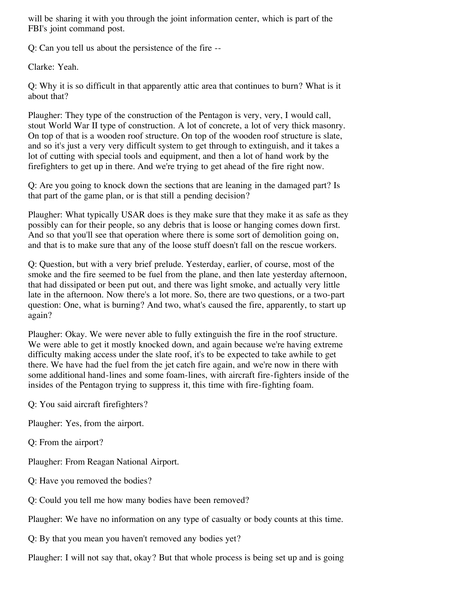will be sharing it with you through the joint information center, which is part of the FBI's joint command post.

Q: Can you tell us about the persistence of the fire --

Clarke: Yeah.

Q: Why it is so difficult in that apparently attic area that continues to burn? What is it about that?

Plaugher: They type of the construction of the Pentagon is very, very, I would call, stout World War II type of construction. A lot of concrete, a lot of very thick masonry. On top of that is a wooden roof structure. On top of the wooden roof structure is slate, and so it's just a very very difficult system to get through to extinguish, and it takes a lot of cutting with special tools and equipment, and then a lot of hand work by the firefighters to get up in there. And we're trying to get ahead of the fire right now.

Q: Are you going to knock down the sections that are leaning in the damaged part? Is that part of the game plan, or is that still a pending decision?

Plaugher: What typically USAR does is they make sure that they make it as safe as they possibly can for their people, so any debris that is loose or hanging comes down first. And so that you'll see that operation where there is some sort of demolition going on, and that is to make sure that any of the loose stuff doesn't fall on the rescue workers.

Q: Question, but with a very brief prelude. Yesterday, earlier, of course, most of the smoke and the fire seemed to be fuel from the plane, and then late yesterday afternoon, that had dissipated or been put out, and there was light smoke, and actually very little late in the afternoon. Now there's a lot more. So, there are two questions, or a two-part question: One, what is burning? And two, what's caused the fire, apparently, to start up again?

Plaugher: Okay. We were never able to fully extinguish the fire in the roof structure. We were able to get it mostly knocked down, and again because we're having extreme difficulty making access under the slate roof, it's to be expected to take awhile to get there. We have had the fuel from the jet catch fire again, and we're now in there with some additional hand-lines and some foam-lines, with aircraft fire-fighters inside of the insides of the Pentagon trying to suppress it, this time with fire-fighting foam.

Q: You said aircraft firefighters?

Plaugher: Yes, from the airport.

Q: From the airport?

Plaugher: From Reagan National Airport.

Q: Have you removed the bodies?

Q: Could you tell me how many bodies have been removed?

Plaugher: We have no information on any type of casualty or body counts at this time.

Q: By that you mean you haven't removed any bodies yet?

Plaugher: I will not say that, okay? But that whole process is being set up and is going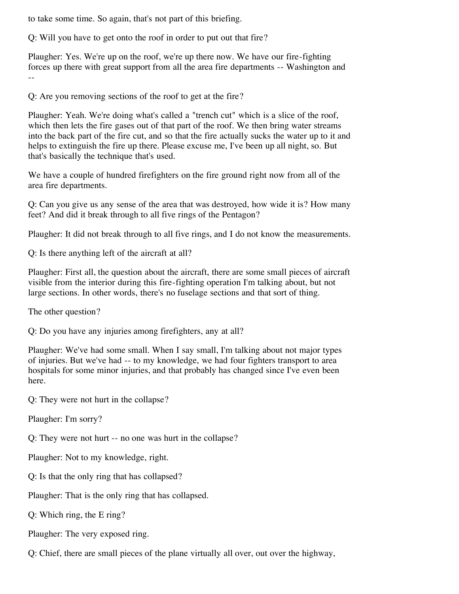to take some time. So again, that's not part of this briefing.

Q: Will you have to get onto the roof in order to put out that fire?

Plaugher: Yes. We're up on the roof, we're up there now. We have our fire-fighting forces up there with great support from all the area fire departments -- Washington and --

Q: Are you removing sections of the roof to get at the fire?

Plaugher: Yeah. We're doing what's called a "trench cut" which is a slice of the roof, which then lets the fire gases out of that part of the roof. We then bring water streams into the back part of the fire cut, and so that the fire actually sucks the water up to it and helps to extinguish the fire up there. Please excuse me, I've been up all night, so. But that's basically the technique that's used.

We have a couple of hundred firefighters on the fire ground right now from all of the area fire departments.

Q: Can you give us any sense of the area that was destroyed, how wide it is? How many feet? And did it break through to all five rings of the Pentagon?

Plaugher: It did not break through to all five rings, and I do not know the measurements.

Q: Is there anything left of the aircraft at all?

Plaugher: First all, the question about the aircraft, there are some small pieces of aircraft visible from the interior during this fire-fighting operation I'm talking about, but not large sections. In other words, there's no fuselage sections and that sort of thing.

The other question?

Q: Do you have any injuries among firefighters, any at all?

Plaugher: We've had some small. When I say small, I'm talking about not major types of injuries. But we've had -- to my knowledge, we had four fighters transport to area hospitals for some minor injuries, and that probably has changed since I've even been here.

Q: They were not hurt in the collapse?

Plaugher: I'm sorry?

Q: They were not hurt -- no one was hurt in the collapse?

Plaugher: Not to my knowledge, right.

Q: Is that the only ring that has collapsed?

Plaugher: That is the only ring that has collapsed.

Q: Which ring, the E ring?

Plaugher: The very exposed ring.

Q: Chief, there are small pieces of the plane virtually all over, out over the highway,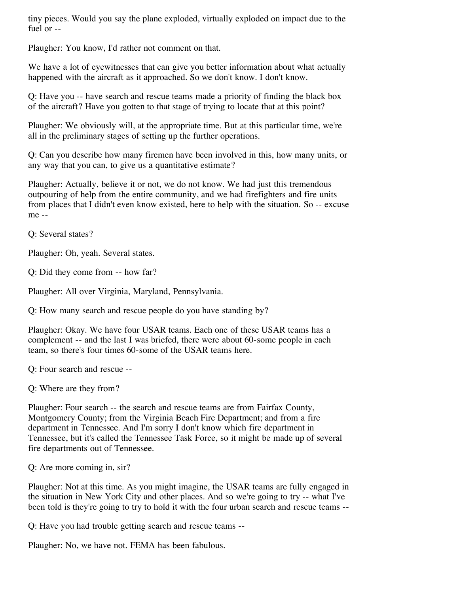tiny pieces. Would you say the plane exploded, virtually exploded on impact due to the fuel or --

Plaugher: You know, I'd rather not comment on that.

We have a lot of eyewitnesses that can give you better information about what actually happened with the aircraft as it approached. So we don't know. I don't know.

Q: Have you -- have search and rescue teams made a priority of finding the black box of the aircraft? Have you gotten to that stage of trying to locate that at this point?

Plaugher: We obviously will, at the appropriate time. But at this particular time, we're all in the preliminary stages of setting up the further operations.

Q: Can you describe how many firemen have been involved in this, how many units, or any way that you can, to give us a quantitative estimate?

Plaugher: Actually, believe it or not, we do not know. We had just this tremendous outpouring of help from the entire community, and we had firefighters and fire units from places that I didn't even know existed, here to help with the situation. So -- excuse me --

Q: Several states?

Plaugher: Oh, yeah. Several states.

Q: Did they come from -- how far?

Plaugher: All over Virginia, Maryland, Pennsylvania.

Q: How many search and rescue people do you have standing by?

Plaugher: Okay. We have four USAR teams. Each one of these USAR teams has a complement -- and the last I was briefed, there were about 60-some people in each team, so there's four times 60-some of the USAR teams here.

Q: Four search and rescue --

Q: Where are they from?

Plaugher: Four search -- the search and rescue teams are from Fairfax County, Montgomery County; from the Virginia Beach Fire Department; and from a fire department in Tennessee. And I'm sorry I don't know which fire department in Tennessee, but it's called the Tennessee Task Force, so it might be made up of several fire departments out of Tennessee.

Q: Are more coming in, sir?

Plaugher: Not at this time. As you might imagine, the USAR teams are fully engaged in the situation in New York City and other places. And so we're going to try -- what I've been told is they're going to try to hold it with the four urban search and rescue teams --

Q: Have you had trouble getting search and rescue teams --

Plaugher: No, we have not. FEMA has been fabulous.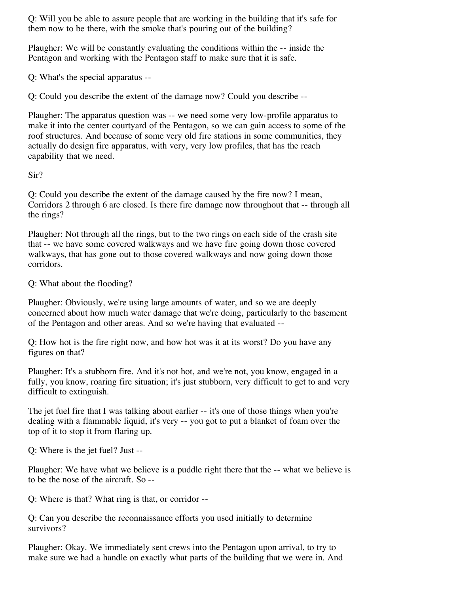Q: Will you be able to assure people that are working in the building that it's safe for them now to be there, with the smoke that's pouring out of the building?

Plaugher: We will be constantly evaluating the conditions within the -- inside the Pentagon and working with the Pentagon staff to make sure that it is safe.

Q: What's the special apparatus --

Q: Could you describe the extent of the damage now? Could you describe --

Plaugher: The apparatus question was -- we need some very low-profile apparatus to make it into the center courtyard of the Pentagon, so we can gain access to some of the roof structures. And because of some very old fire stations in some communities, they actually do design fire apparatus, with very, very low profiles, that has the reach capability that we need.

Sir?

Q: Could you describe the extent of the damage caused by the fire now? I mean, Corridors 2 through 6 are closed. Is there fire damage now throughout that -- through all the rings?

Plaugher: Not through all the rings, but to the two rings on each side of the crash site that -- we have some covered walkways and we have fire going down those covered walkways, that has gone out to those covered walkways and now going down those corridors.

Q: What about the flooding?

Plaugher: Obviously, we're using large amounts of water, and so we are deeply concerned about how much water damage that we're doing, particularly to the basement of the Pentagon and other areas. And so we're having that evaluated --

Q: How hot is the fire right now, and how hot was it at its worst? Do you have any figures on that?

Plaugher: It's a stubborn fire. And it's not hot, and we're not, you know, engaged in a fully, you know, roaring fire situation; it's just stubborn, very difficult to get to and very difficult to extinguish.

The jet fuel fire that I was talking about earlier -- it's one of those things when you're dealing with a flammable liquid, it's very -- you got to put a blanket of foam over the top of it to stop it from flaring up.

Q: Where is the jet fuel? Just --

Plaugher: We have what we believe is a puddle right there that the -- what we believe is to be the nose of the aircraft. So --

Q: Where is that? What ring is that, or corridor --

Q: Can you describe the reconnaissance efforts you used initially to determine survivors?

Plaugher: Okay. We immediately sent crews into the Pentagon upon arrival, to try to make sure we had a handle on exactly what parts of the building that we were in. And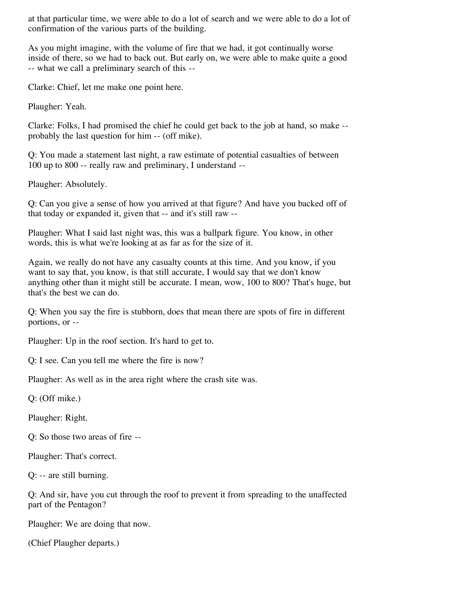at that particular time, we were able to do a lot of search and we were able to do a lot of confirmation of the various parts of the building.

As you might imagine, with the volume of fire that we had, it got continually worse inside of there, so we had to back out. But early on, we were able to make quite a good -- what we call a preliminary search of this --

Clarke: Chief, let me make one point here.

Plaugher: Yeah.

Clarke: Folks, I had promised the chief he could get back to the job at hand, so make - probably the last question for him -- (off mike).

Q: You made a statement last night, a raw estimate of potential casualties of between 100 up to 800 -- really raw and preliminary, I understand --

Plaugher: Absolutely.

Q: Can you give a sense of how you arrived at that figure? And have you backed off of that today or expanded it, given that -- and it's still raw --

Plaugher: What I said last night was, this was a ballpark figure. You know, in other words, this is what we're looking at as far as for the size of it.

Again, we really do not have any casualty counts at this time. And you know, if you want to say that, you know, is that still accurate, I would say that we don't know anything other than it might still be accurate. I mean, wow, 100 to 800? That's huge, but that's the best we can do.

Q: When you say the fire is stubborn, does that mean there are spots of fire in different portions, or --

Plaugher: Up in the roof section. It's hard to get to.

Q: I see. Can you tell me where the fire is now?

Plaugher: As well as in the area right where the crash site was.

Q: (Off mike.)

Plaugher: Right.

Q: So those two areas of fire --

Plaugher: That's correct.

Q: -- are still burning.

Q: And sir, have you cut through the roof to prevent it from spreading to the unaffected part of the Pentagon?

Plaugher: We are doing that now.

(Chief Plaugher departs.)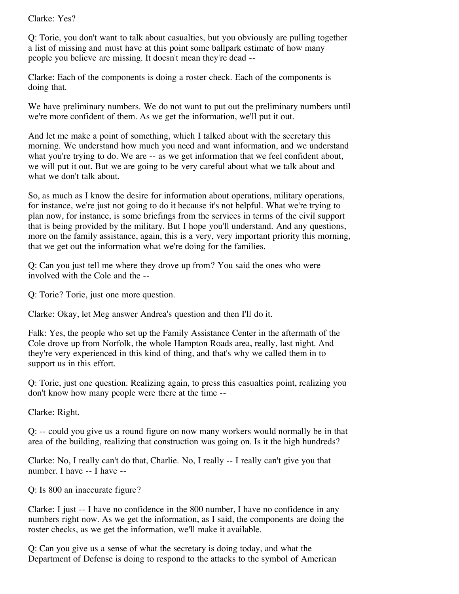Clarke: Yes?

Q: Torie, you don't want to talk about casualties, but you obviously are pulling together a list of missing and must have at this point some ballpark estimate of how many people you believe are missing. It doesn't mean they're dead --

Clarke: Each of the components is doing a roster check. Each of the components is doing that.

We have preliminary numbers. We do not want to put out the preliminary numbers until we're more confident of them. As we get the information, we'll put it out.

And let me make a point of something, which I talked about with the secretary this morning. We understand how much you need and want information, and we understand what you're trying to do. We are  $-$  as we get information that we feel confident about, we will put it out. But we are going to be very careful about what we talk about and what we don't talk about.

So, as much as I know the desire for information about operations, military operations, for instance, we're just not going to do it because it's not helpful. What we're trying to plan now, for instance, is some briefings from the services in terms of the civil support that is being provided by the military. But I hope you'll understand. And any questions, more on the family assistance, again, this is a very, very important priority this morning, that we get out the information what we're doing for the families.

Q: Can you just tell me where they drove up from? You said the ones who were involved with the Cole and the --

Q: Torie? Torie, just one more question.

Clarke: Okay, let Meg answer Andrea's question and then I'll do it.

Falk: Yes, the people who set up the Family Assistance Center in the aftermath of the Cole drove up from Norfolk, the whole Hampton Roads area, really, last night. And they're very experienced in this kind of thing, and that's why we called them in to support us in this effort.

Q: Torie, just one question. Realizing again, to press this casualties point, realizing you don't know how many people were there at the time --

Clarke: Right.

Q: -- could you give us a round figure on now many workers would normally be in that area of the building, realizing that construction was going on. Is it the high hundreds?

Clarke: No, I really can't do that, Charlie. No, I really -- I really can't give you that number. I have -- I have --

Q: Is 800 an inaccurate figure?

Clarke: I just -- I have no confidence in the 800 number, I have no confidence in any numbers right now. As we get the information, as I said, the components are doing the roster checks, as we get the information, we'll make it available.

Q: Can you give us a sense of what the secretary is doing today, and what the Department of Defense is doing to respond to the attacks to the symbol of American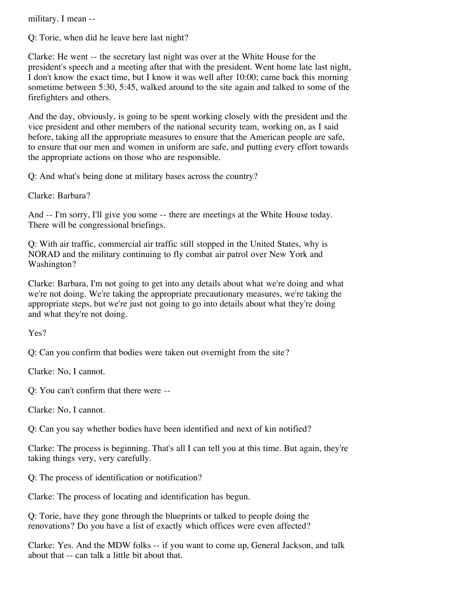military. I mean --

Q: Torie, when did he leave here last night?

Clarke: He went -- the secretary last night was over at the White House for the president's speech and a meeting after that with the president. Went home late last night, I don't know the exact time, but I know it was well after 10:00; came back this morning sometime between 5:30, 5:45, walked around to the site again and talked to some of the firefighters and others.

And the day, obviously, is going to be spent working closely with the president and the vice president and other members of the national security team, working on, as I said before, taking all the appropriate measures to ensure that the American people are safe, to ensure that our men and women in uniform are safe, and putting every effort towards the appropriate actions on those who are responsible.

Q: And what's being done at military bases across the country?

Clarke: Barbara?

And -- I'm sorry, I'll give you some -- there are meetings at the White House today. There will be congressional briefings.

Q: With air traffic, commercial air traffic still stopped in the United States, why is NORAD and the military continuing to fly combat air patrol over New York and Washington?

Clarke: Barbara, I'm not going to get into any details about what we're doing and what we're not doing. We're taking the appropriate precautionary measures, we're taking the appropriate steps, but we're just not going to go into details about what they're doing and what they're not doing.

Yes?

Q: Can you confirm that bodies were taken out overnight from the site?

Clarke: No, I cannot.

Q: You can't confirm that there were --

Clarke: No, I cannot.

Q: Can you say whether bodies have been identified and next of kin notified?

Clarke: The process is beginning. That's all I can tell you at this time. But again, they're taking things very, very carefully.

Q: The process of identification or notification?

Clarke: The process of locating and identification has begun.

Q: Torie, have they gone through the blueprints or talked to people doing the renovations? Do you have a list of exactly which offices were even affected?

Clarke: Yes. And the MDW folks -- if you want to come up, General Jackson, and talk about that -- can talk a little bit about that.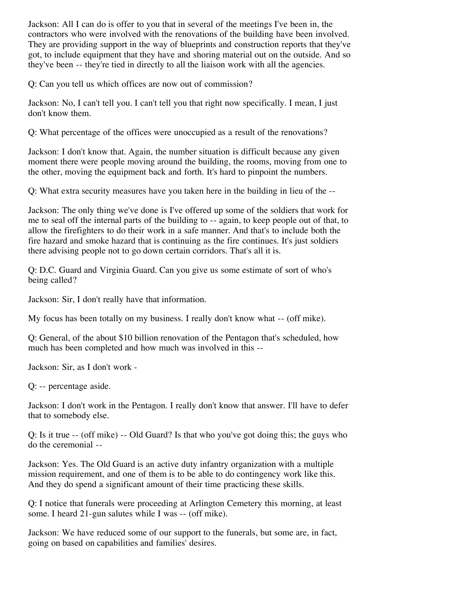Jackson: All I can do is offer to you that in several of the meetings I've been in, the contractors who were involved with the renovations of the building have been involved. They are providing support in the way of blueprints and construction reports that they've got, to include equipment that they have and shoring material out on the outside. And so they've been -- they're tied in directly to all the liaison work with all the agencies.

Q: Can you tell us which offices are now out of commission?

Jackson: No, I can't tell you. I can't tell you that right now specifically. I mean, I just don't know them.

Q: What percentage of the offices were unoccupied as a result of the renovations?

Jackson: I don't know that. Again, the number situation is difficult because any given moment there were people moving around the building, the rooms, moving from one to the other, moving the equipment back and forth. It's hard to pinpoint the numbers.

Q: What extra security measures have you taken here in the building in lieu of the --

Jackson: The only thing we've done is I've offered up some of the soldiers that work for me to seal off the internal parts of the building to -- again, to keep people out of that, to allow the firefighters to do their work in a safe manner. And that's to include both the fire hazard and smoke hazard that is continuing as the fire continues. It's just soldiers there advising people not to go down certain corridors. That's all it is.

Q: D.C. Guard and Virginia Guard. Can you give us some estimate of sort of who's being called?

Jackson: Sir, I don't really have that information.

My focus has been totally on my business. I really don't know what -- (off mike).

Q: General, of the about \$10 billion renovation of the Pentagon that's scheduled, how much has been completed and how much was involved in this --

Jackson: Sir, as I don't work -

Q: -- percentage aside.

Jackson: I don't work in the Pentagon. I really don't know that answer. I'll have to defer that to somebody else.

Q: Is it true -- (off mike) -- Old Guard? Is that who you've got doing this; the guys who do the ceremonial --

Jackson: Yes. The Old Guard is an active duty infantry organization with a multiple mission requirement, and one of them is to be able to do contingency work like this. And they do spend a significant amount of their time practicing these skills.

Q: I notice that funerals were proceeding at Arlington Cemetery this morning, at least some. I heard 21-gun salutes while I was -- (off mike).

Jackson: We have reduced some of our support to the funerals, but some are, in fact, going on based on capabilities and families' desires.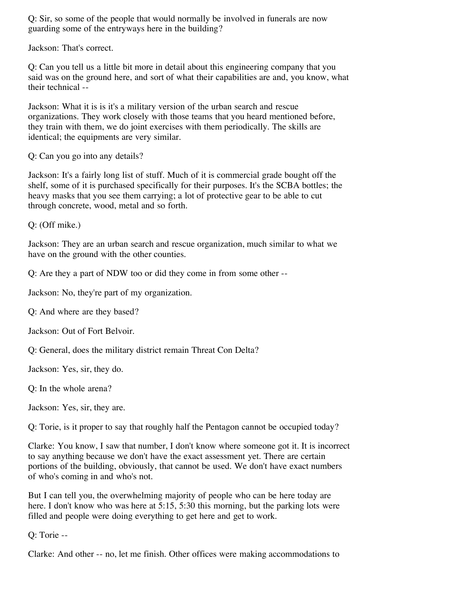Q: Sir, so some of the people that would normally be involved in funerals are now guarding some of the entryways here in the building?

Jackson: That's correct.

Q: Can you tell us a little bit more in detail about this engineering company that you said was on the ground here, and sort of what their capabilities are and, you know, what their technical --

Jackson: What it is is it's a military version of the urban search and rescue organizations. They work closely with those teams that you heard mentioned before, they train with them, we do joint exercises with them periodically. The skills are identical; the equipments are very similar.

Q: Can you go into any details?

Jackson: It's a fairly long list of stuff. Much of it is commercial grade bought off the shelf, some of it is purchased specifically for their purposes. It's the SCBA bottles; the heavy masks that you see them carrying; a lot of protective gear to be able to cut through concrete, wood, metal and so forth.

Q: (Off mike.)

Jackson: They are an urban search and rescue organization, much similar to what we have on the ground with the other counties.

Q: Are they a part of NDW too or did they come in from some other --

Jackson: No, they're part of my organization.

Q: And where are they based?

Jackson: Out of Fort Belvoir.

Q: General, does the military district remain Threat Con Delta?

Jackson: Yes, sir, they do.

Q: In the whole arena?

Jackson: Yes, sir, they are.

Q: Torie, is it proper to say that roughly half the Pentagon cannot be occupied today?

Clarke: You know, I saw that number, I don't know where someone got it. It is incorrect to say anything because we don't have the exact assessment yet. There are certain portions of the building, obviously, that cannot be used. We don't have exact numbers of who's coming in and who's not.

But I can tell you, the overwhelming majority of people who can be here today are here. I don't know who was here at 5:15, 5:30 this morning, but the parking lots were filled and people were doing everything to get here and get to work.

Q: Torie --

Clarke: And other -- no, let me finish. Other offices were making accommodations to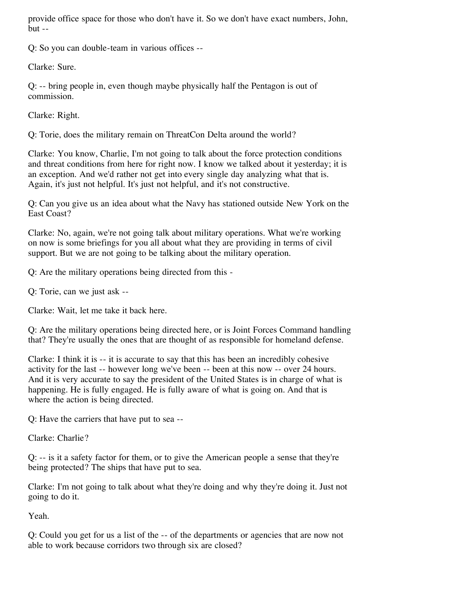provide office space for those who don't have it. So we don't have exact numbers, John, but --

Q: So you can double-team in various offices --

Clarke: Sure.

Q: -- bring people in, even though maybe physically half the Pentagon is out of commission.

Clarke: Right.

Q: Torie, does the military remain on ThreatCon Delta around the world?

Clarke: You know, Charlie, I'm not going to talk about the force protection conditions and threat conditions from here for right now. I know we talked about it yesterday; it is an exception. And we'd rather not get into every single day analyzing what that is. Again, it's just not helpful. It's just not helpful, and it's not constructive.

Q: Can you give us an idea about what the Navy has stationed outside New York on the East Coast?

Clarke: No, again, we're not going talk about military operations. What we're working on now is some briefings for you all about what they are providing in terms of civil support. But we are not going to be talking about the military operation.

Q: Are the military operations being directed from this -

Q: Torie, can we just ask --

Clarke: Wait, let me take it back here.

Q: Are the military operations being directed here, or is Joint Forces Command handling that? They're usually the ones that are thought of as responsible for homeland defense.

Clarke: I think it is  $-$  it is accurate to say that this has been an incredibly cohesive activity for the last -- however long we've been -- been at this now -- over 24 hours. And it is very accurate to say the president of the United States is in charge of what is happening. He is fully engaged. He is fully aware of what is going on. And that is where the action is being directed.

Q: Have the carriers that have put to sea --

Clarke: Charlie?

Q: -- is it a safety factor for them, or to give the American people a sense that they're being protected? The ships that have put to sea.

Clarke: I'm not going to talk about what they're doing and why they're doing it. Just not going to do it.

Yeah.

Q: Could you get for us a list of the -- of the departments or agencies that are now not able to work because corridors two through six are closed?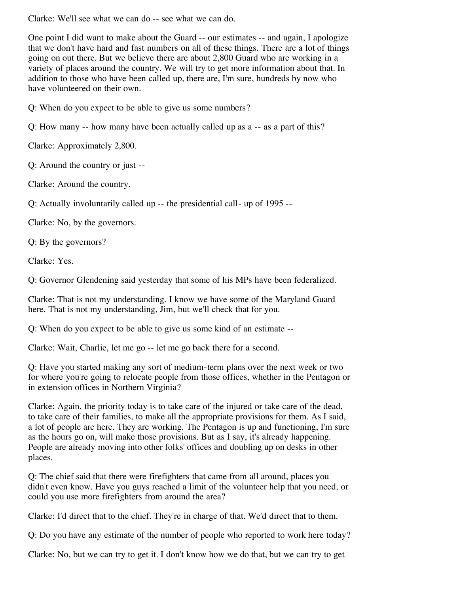Clarke: We'll see what we can do -- see what we can do.

One point I did want to make about the Guard -- our estimates -- and again, I apologize that we don't have hard and fast numbers on all of these things. There are a lot of things going on out there. But we believe there are about 2,800 Guard who are working in a variety of places around the country. We will try to get more information about that. In addition to those who have been called up, there are, I'm sure, hundreds by now who have volunteered on their own.

Q: When do you expect to be able to give us some numbers?

Q: How many -- how many have been actually called up as a -- as a part of this?

Clarke: Approximately 2,800.

Q: Around the country or just --

Clarke: Around the country.

Q: Actually involuntarily called up -- the presidential call- up of 1995 --

Clarke: No, by the governors.

Q: By the governors?

Clarke: Yes.

Q: Governor Glendening said yesterday that some of his MPs have been federalized.

Clarke: That is not my understanding. I know we have some of the Maryland Guard here. That is not my understanding, Jim, but we'll check that for you.

Q: When do you expect to be able to give us some kind of an estimate --

Clarke: Wait, Charlie, let me go -- let me go back there for a second.

Q: Have you started making any sort of medium-term plans over the next week or two for where you're going to relocate people from those offices, whether in the Pentagon or in extension offices in Northern Virginia?

Clarke: Again, the priority today is to take care of the injured or take care of the dead, to take care of their families, to make all the appropriate provisions for them. As I said, a lot of people are here. They are working. The Pentagon is up and functioning, I'm sure as the hours go on, will make those provisions. But as I say, it's already happening. People are already moving into other folks' offices and doubling up on desks in other places.

Q: The chief said that there were firefighters that came from all around, places you didn't even know. Have you guys reached a limit of the volunteer help that you need, or could you use more firefighters from around the area?

Clarke: I'd direct that to the chief. They're in charge of that. We'd direct that to them.

Q: Do you have any estimate of the number of people who reported to work here today?

Clarke: No, but we can try to get it. I don't know how we do that, but we can try to get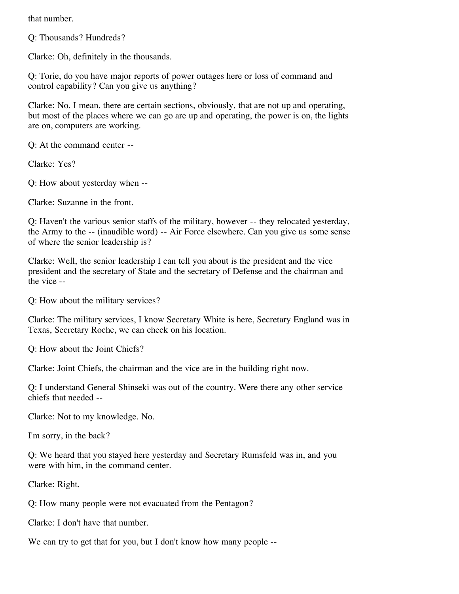that number.

Q: Thousands? Hundreds?

Clarke: Oh, definitely in the thousands.

Q: Torie, do you have major reports of power outages here or loss of command and control capability? Can you give us anything?

Clarke: No. I mean, there are certain sections, obviously, that are not up and operating, but most of the places where we can go are up and operating, the power is on, the lights are on, computers are working.

Q: At the command center --

Clarke: Yes?

Q: How about yesterday when --

Clarke: Suzanne in the front.

Q: Haven't the various senior staffs of the military, however -- they relocated yesterday, the Army to the -- (inaudible word) -- Air Force elsewhere. Can you give us some sense of where the senior leadership is?

Clarke: Well, the senior leadership I can tell you about is the president and the vice president and the secretary of State and the secretary of Defense and the chairman and the vice --

Q: How about the military services?

Clarke: The military services, I know Secretary White is here, Secretary England was in Texas, Secretary Roche, we can check on his location.

Q: How about the Joint Chiefs?

Clarke: Joint Chiefs, the chairman and the vice are in the building right now.

Q: I understand General Shinseki was out of the country. Were there any other service chiefs that needed --

Clarke: Not to my knowledge. No.

I'm sorry, in the back?

Q: We heard that you stayed here yesterday and Secretary Rumsfeld was in, and you were with him, in the command center.

Clarke: Right.

Q: How many people were not evacuated from the Pentagon?

Clarke: I don't have that number.

We can try to get that for you, but I don't know how many people --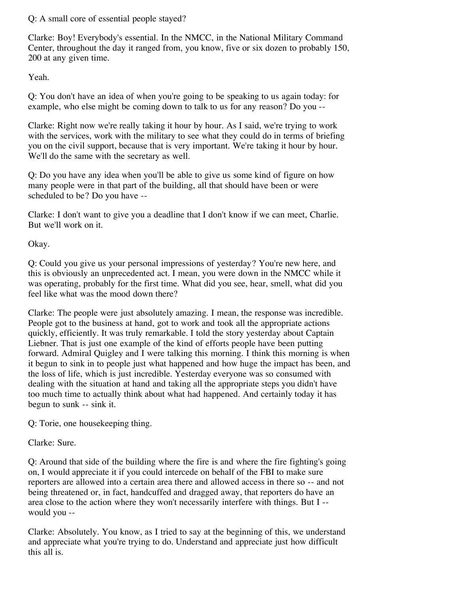Q: A small core of essential people stayed?

Clarke: Boy! Everybody's essential. In the NMCC, in the National Military Command Center, throughout the day it ranged from, you know, five or six dozen to probably 150, 200 at any given time.

Yeah.

Q: You don't have an idea of when you're going to be speaking to us again today: for example, who else might be coming down to talk to us for any reason? Do you --

Clarke: Right now we're really taking it hour by hour. As I said, we're trying to work with the services, work with the military to see what they could do in terms of briefing you on the civil support, because that is very important. We're taking it hour by hour. We'll do the same with the secretary as well.

Q: Do you have any idea when you'll be able to give us some kind of figure on how many people were in that part of the building, all that should have been or were scheduled to be? Do you have --

Clarke: I don't want to give you a deadline that I don't know if we can meet, Charlie. But we'll work on it.

Okay.

Q: Could you give us your personal impressions of yesterday? You're new here, and this is obviously an unprecedented act. I mean, you were down in the NMCC while it was operating, probably for the first time. What did you see, hear, smell, what did you feel like what was the mood down there?

Clarke: The people were just absolutely amazing. I mean, the response was incredible. People got to the business at hand, got to work and took all the appropriate actions quickly, efficiently. It was truly remarkable. I told the story yesterday about Captain Liebner. That is just one example of the kind of efforts people have been putting forward. Admiral Quigley and I were talking this morning. I think this morning is when it begun to sink in to people just what happened and how huge the impact has been, and the loss of life, which is just incredible. Yesterday everyone was so consumed with dealing with the situation at hand and taking all the appropriate steps you didn't have too much time to actually think about what had happened. And certainly today it has begun to sunk -- sink it.

Q: Torie, one housekeeping thing.

Clarke: Sure.

Q: Around that side of the building where the fire is and where the fire fighting's going on, I would appreciate it if you could intercede on behalf of the FBI to make sure reporters are allowed into a certain area there and allowed access in there so -- and not being threatened or, in fact, handcuffed and dragged away, that reporters do have an area close to the action where they won't necessarily interfere with things. But I - would you --

Clarke: Absolutely. You know, as I tried to say at the beginning of this, we understand and appreciate what you're trying to do. Understand and appreciate just how difficult this all is.